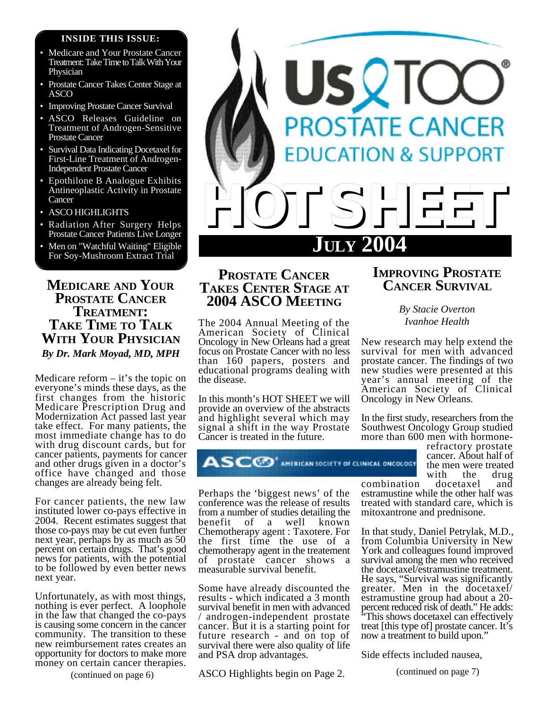#### **INSIDE THIS ISSUE:**

- Medicare and Your Prostate Cancer Treatment: Take Time to Talk With Your Physician
- Prostate Cancer Takes Center Stage at ASCO
- Improving Prostate Cancer Survival
- ASCO Releases Guideline on Treatment of Androgen-Sensitive Prostate Cancer
- Survival Data Indicating Docetaxel for First-Line Treatment of Androgen-Independent Prostate Cancer
- Epothilone B Analogue Exhibits Antineoplastic Activity in Prostate **Cancer**
- ASCO HIGHLIGHTS
- Radiation After Surgery Helps Prostate Cancer Patients Live Longer
- Men on "Watchful Waiting" Eligible For Soy-Mushroom Extract Trial

## **MEDICARE AND YOUR PROSTATE CANCER TREATMENT: TAKE TIME TO TALK WITH YOUR PHYSICIAN** *By Dr. Mark Moyad, MD, MPH*

Medicare reform  $-$  it's the topic on everyone's minds these days, as the first changes from the historic Medicare Prescription Drug and Modernization Act passed last year take effect. For many patients, the most immediate change has to do with drug discount cards, but for cancer patients, payments for cancer and other drugs given in a doctor's office have changed and those changes are already being felt.

For cancer patients, the new law instituted lower co-pays effective in 2004. Recent estimates suggest that those co-pays may be cut even further next year, perhaps by as much as 50 percent on certain drugs. That's good news for patients, with the potential to be followed by even better news next year.

Unfortunately, as with most things, nothing is ever perfect. A loophole in the law that changed the co-pays is causing some concern in the cancer community. The transition to these new reimbursement rates creates an opportunity for doctors to make more money on certain cancer therapies.

(continued on page 6)



# **PROSTATE CANCER TAKES CENTER STAGE AT 2004 ASCO MEETING**

The 2004 Annual Meeting of the American Society of Clinical Oncology in New Orleans had a great focus on Prostate Cancer with no less than 160 papers, posters and educational programs dealing with the disease.

In this month's HOT SHEET we will provide an overview of the abstracts and highlight several which may signal a shift in the way Prostate Cancer is treated in the future.



Perhaps the 'biggest news' of the conference was the release of results from a number of studies detailing the benefit of a well known Chemotherapy agent : Taxotere. For the first time the use of a chemotherapy agent in the treatement of prostate cancer shows a measurable survival benefit.

Some have already discounted the results - which indicated a 3 month survival benefit in men with advanced / androgen-independent prostate cancer. But it is a starting point for future research - and on top of survival there were also quality of life and PSA drop advantages.

ASCO Highlights begin on Page 2.

# **IMPROVING PROSTATE CANCER SURVIVAL**

*By Stacie Overton Ivanhoe Health*

New research may help extend the survival for men with advanced prostate cancer. The findings of two new studies were presented at this year's annual meeting of the American Society of Clinical Oncology in New Orleans.

In the first study, researchers from the Southwest Oncology Group studied more than 600 men with hormone-

> refractory prostate cancer. About half of the men were treated with the drug<br>docetaxel and

combination estramustine while the other half was treated with standard care, which is mitoxantrone and prednisone.

In that study, Daniel Petrylak, M.D., from Columbia University in New York and colleagues found improved survival among the men who received the docetaxel/estramustine treatment. He says, "Survival was significantly greater. Men in the docetaxel/ estramustine group had about a 20 percent reduced risk of death." He adds: This shows docetaxel can effectively treat [this type of] prostate cancer. It's now a treatment to build upon."

Side effects included nausea,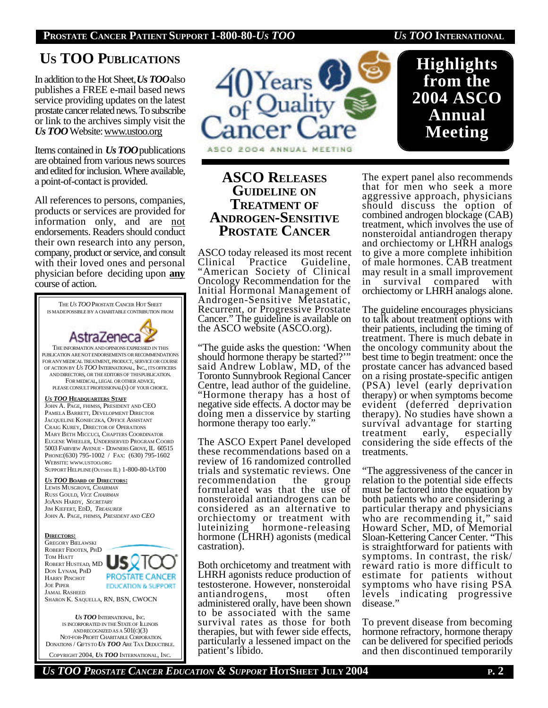#### **PROSTATE CANCER PATIENT SUPPORT 1-800-80-***US TOO US TOO* **INTERNATIONAL**

# **US TOO PUBLICATIONS**

In addition to the Hot Sheet, *Us TOO*also publishes a FREE e-mail based news service providing updates on the latest prostate cancer related news. To subscribe or link to the archives simply visit the *Us TOO* Website: www.ustoo.org

Items contained in *Us TOO*publications are obtained from various news sources and edited for inclusion. Where available, a point-of-contact is provided.

All references to persons, companies, products or services are provided for information only, and are not endorsements. Readers should conduct their own research into any person, company, product or service, and consult with their loved ones and personal physician before deciding upon **any** course of action.



 NOT-FOR-PROFIT CHARITABLE CORPORATION. DONATIONS / GIFTSTO *US TOO* ARE TAX DEDUCTIBLE. COPYRIGHT 2004, *US TOO* INTERNATIONAL, INC.



## **ASCO RELEASES GUIDELINE ON TREATMENT OF ANDROGEN-SENSITIVE PROSTATE CANCER**

ASCO today released its most recent Clinical Practice Guideline, "American Society of Clinical Oncology Recommendation for the Initial Hormonal Management of Androgen-Sensitive Metastatic, Recurrent, or Progressive Prostate Cancer." The guideline is available on the ASCO website (ASCO.org).

"The guide asks the question: 'When should hormone therapy be started?" said Andrew Loblaw, MD, of the Toronto Sunnybrook Regional Cancer Centre, lead author of the guideline. "Hormone therapy has a host of negative side effects. A doctor may be doing men a disservice by starting hormone therapy too early.

The ASCO Expert Panel developed these recommendations based on a review of 16 randomized controlled trials and systematic reviews. One<br>recommendation the group recommendation the group formulated was that the use of nonsteroidal antiandrogens can be considered as an alternative to orchiectomy or treatment with luteinizing hormone-releasing hormone (LHRH) agonists (medical castration).

Both orchicetomy and treatment with LHRH agonists reduce production of testosterone. However, nonsteroidal antiandrogens, most often administered orally, have been shown to be associated with the same survival rates as those for both therapies, but with fewer side effects, particularly a lessened impact on the patient's libido.

**Highlights from the 2004 ASCO Annual Meeting**

The expert panel also recommends that for men who seek a more aggressive approach, physicians should discuss the option of combined androgen blockage (CAB) treatment, which involves the use of nonsteroidal antiandrogen therapy and orchiectomy or LHRH analogs to give a more complete inhibition of male hormones. CAB treatment may result in a small improvement in survival compared with orchiectomy or LHRH analogs alone.

The guideline encourages physicians to talk about treatment options with their patients, including the timing of treatment. There is much debate in the oncology community about the best time to begin treatment: once the prostate cancer has advanced based on a rising prostate-specific antigen (PSA) level (early deprivation therapy) or when symptoms become evident (deferred deprivation therapy). No studies have shown a survival advantage for starting treatment early, especially considering the side effects of the treatments.

"The aggressiveness of the cancer in relation to the potential side effects must be factored into the equation by both patients who are considering a particular therapy and physicians who are recommending it," said Howard Scher, MD, of Memorial Sloan-Kettering Cancer Center. "This is straightforward for patients with symptoms. In contrast, the risk/ reward ratio is more difficult to estimate for patients without symptoms who have rising PSA levels indicating progressive disease."

To prevent disease from becoming hormone refractory, hormone therapy can be delivered for specified periods and then discontinued temporarily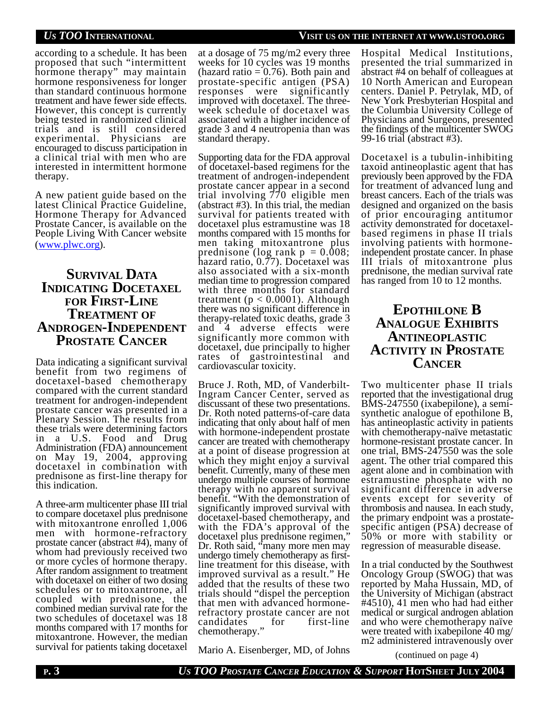according to a schedule. It has been proposed that such "intermittent hormone therapy" may maintain hormone responsiveness for longer than standard continuous hormone treatment and have fewer side effects. However, this concept is currently being tested in randomized clinical trials and is still considered experimental. Physicians are encouraged to discuss participation in a clinical trial with men who are interested in intermittent hormone therapy.

A new patient guide based on the latest Clinical Practice Guideline, Hormone Therapy for Advanced Prostate Cancer, is available on the People Living With Cancer website (www.plwc.org).

## **SURVIVAL DATA INDICATING DOCETAXEL FOR FIRST-LINE TREATMENT OF ANDROGEN-INDEPENDENT PROSTATE CANCER**

Data indicating a significant survival benefit from two regimens of docetaxel-based chemotherapy compared with the current standard treatment for androgen-independent prostate cancer was presented in a Plenary Session. The results from these trials were determining factors in a U.S. Food and Drug Administration (FDA) announcement on May 19, 2004, approving docetaxel in combination with prednisone as first-line therapy for this indication.

A three-arm multicenter phase III trial to compare docetaxel plus prednisone with mitoxantrone enrolled 1,006 men with hormone-refractory prostate cancer (abstract #4), many of whom had previously received two or more cycles of hormone therapy. After random assignment to treatment with docetaxel on either of two dosing schedules or to mitoxantrone, all coupled with prednisone, the combined median survival rate for the two schedules of docetaxel was 18 months compared with 17 months for mitoxantrone. However, the median survival for patients taking docetaxel

at a dosage of 75 mg/m2 every three weeks for 10 cycles was 19 months (hazard ratio  $= 0.76$ ). Both pain and prostate-specific antigen (PSA) responses were significantly improved with docetaxel. The threeweek schedule of docetaxel was associated with a higher incidence of grade 3 and 4 neutropenia than was standard therapy.

Supporting data for the FDA approval of docetaxel-based regimens for the treatment of androgen-independent prostate cancer appear in a second trial involving 770 eligible men (abstract #3). In this trial, the median survival for patients treated with docetaxel plus estramustine was 18 months compared with 15 months for men taking mitoxantrone plus prednisone (log rank  $p = 0.008$ ; hazard ratio, 0.77). Docetaxel was also associated with a six-month median time to progression compared with three months for standard treatment ( $p < 0.0001$ ). Although there was no significant difference in therapy-related toxic deaths, grade 3 and 4 adverse effects were significantly more common with docetaxel, due principally to higher rates of gastrointestinal and cardiovascular toxicity.

Bruce J. Roth, MD, of Vanderbilt-Ingram Cancer Center, served as discussant of these two presentations. Dr. Roth noted patterns-of-care data indicating that only about half of men with hormone-independent prostate cancer are treated with chemotherapy at a point of disease progression at which they might enjoy a survival benefit. Currently, many of these men undergo multiple courses of hormone therapy with no apparent survival benefit. "With the demonstration of significantly improved survival with docetaxel-based chemotherapy, and with the FDA's approval of the docetaxel plus prednisone regimen, Dr. Roth said, "many more men may undergo timely chemotherapy as firstline treatment for this disease, with improved survival as a result." He added that the results of these two trials should "dispel the perception that men with advanced hormonerefractory prostate cancer are not<br>candidates for first-line candidates for first-line chemotherapy."

Mario A. Eisenberger, MD, of Johns

*US TOO* **INTERNATIONAL VISIT US ON THE INTERNET AT WWW.USTOO.ORG**

Hospital Medical Institutions, presented the trial summarized in abstract #4 on behalf of colleagues at 10 North American and European centers. Daniel P. Petrylak, MD, of New York Presbyterian Hospital and the Columbia University College of Physicians and Surgeons, presented the findings of the multicenter SWOG 99-16 trial (abstract #3).

Docetaxel is a tubulin-inhibiting taxoid antineoplastic agent that has previously been approved by the FDA for treatment of advanced lung and breast cancers. Each of the trials was designed and organized on the basis of prior encouraging antitumor activity demonstrated for docetaxelbased regimens in phase II trials involving patients with hormoneindependent prostate cancer. In phase III trials of mitoxantrone plus prednisone, the median survival rate has ranged from 10 to 12 months.

# **EPOTHILONE B ANALOGUE EXHIBITS ANTINEOPLASTIC ACTIVITY IN PROSTATE CANCER**

Two multicenter phase II trials reported that the investigational drug BMS-247550 (ixabepilone), a semisynthetic analogue of epothilone B, has antineoplastic activity in patients with chemotherapy-naïve metastatic hormone-resistant prostate cancer. In one trial, BMS-247550 was the sole agent. The other trial compared this agent alone and in combination with estramustine phosphate with no significant difference in adverse events except for severity of thrombosis and nausea. In each study, the primary endpoint was a prostatespecific antigen (PSA) decrease of 50% or more with stability or regression of measurable disease.

In a trial conducted by the Southwest Oncology Group (SWOG) that was reported by Maha Hussain, MD, of the University of Michigan (abstract #4510), 41 men who had had either medical or surgical androgen ablation and who were chemotherapy naïve were treated with ixabepilone 40 mg/ m2 administered intravenously over

(continued on page 4)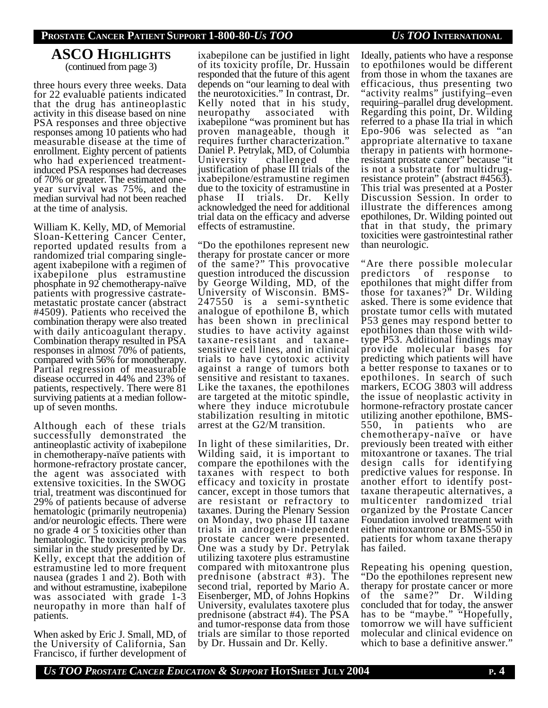# **ASCO HIGHLIGHTS**

(continued from page 3)

three hours every three weeks. Data for 22 evaluable patients indicated that the drug has antineoplastic activity in this disease based on nine PSA responses and three objective responses among 10 patients who had measurable disease at the time of enrollment. Eighty percent of patients who had experienced treatmentinduced PSA responses had decreases of 70% or greater. The estimated oneyear survival was 75%, and the median survival had not been reached at the time of analysis.

William K. Kelly, MD, of Memorial Sloan-Kettering Cancer Center, reported updated results from a randomized trial comparing singleagent ixabepilone with a regimen of ixabepilone plus estramustine phosphate in 92 chemotherapy-naïve patients with progressive castratemetastatic prostate cancer (abstract #4509). Patients who received the combination therapy were also treated with daily anticoagulant therapy. Combination therapy resulted in PSA responses in almost 70% of patients, compared with 56% for monotherapy. Partial regression of measurable disease occurred in 44% and 23% of patients, respectively. There were 81 surviving patients at a median followup of seven months.

Although each of these trials successfully demonstrated the antineoplastic activity of ixabepilone in chemotherapy-naïve patients with hormone-refractory prostate cancer, the agent was associated with extensive toxicities. In the SWOG trial, treatment was discontinued for 29% of patients because of adverse hematologic (primarily neutropenia) and/or neurologic effects. There were no grade 4 or 5 toxicities other than hematologic. The toxicity profile was similar in the study presented by Dr. Kelly, except that the addition of estramustine led to more frequent nausea (grades 1 and 2). Both with and without estramustine, ixabepilone was associated with grade 1-3 neuropathy in more than half of patients.

When asked by Eric J. Small, MD, of the University of California, San Francisco, if further development of

ixabepilone can be justified in light of its toxicity profile, Dr. Hussain responded that the future of this agent depends on "our learning to deal with the neurotoxicities." In contrast, Dr. Kelly noted that in his study, neuropathy associated with ixabepilone "was prominent but has proven manageable, though it requires further characterization." Daniel P. Petrylak, MD, of Columbia University challenged the justification of phase III trials of the ixabepilone/estramustine regimen due to the toxicity of estramustine in phase II trials. Dr. Kelly acknowledged the need for additional trial data on the efficacy and adverse effects of estramustine.

"Do the epothilones represent new therapy for prostate cancer or more of the same?" This provocative question introduced the discussion by George Wilding, MD, of the University of Wisconsin. BMS-247550 is a semi-synthetic analogue of epothilone B, which has been shown in preclinical studies to have activity against taxane-resistant and taxanesensitive cell lines, and in clinical trials to have cytotoxic activity against a range of tumors both sensitive and resistant to taxanes. Like the taxanes, the epothilones are targeted at the mitotic spindle, where they induce microtubule stabilization resulting in mitotic arrest at the G2/M transition.

In light of these similarities, Dr. Wilding said, it is important to compare the epothilones with the taxanes with respect to both efficacy and toxicity in prostate cancer, except in those tumors that are resistant or refractory to taxanes. During the Plenary Session on Monday, two phase III taxane trials in androgen-independent prostate cancer were presented. One was a study by Dr. Petrylak utilizing taxotere plus estramustine compared with mitoxantrone plus prednisone (abstract #3). The second trial, reported by Mario A. Eisenberger, MD, of Johns Hopkins University, evalulates taxotere plus prednisone (abstract #4). The PSA and tumor-response data from those trials are similar to those reported by Dr. Hussain and Dr. Kelly.

Ideally, patients who have a response to epothilones would be different from those in whom the taxanes are efficacious, thus presenting two "activity realms" justifying–even requiring–parallel drug development. Regarding this point, Dr. Wilding referred to a phase IIa trial in which Epo-906 was selected as "an appropriate alternative to taxane therapy in patients with hormoneresistant prostate cancer" because "it is not a substrate for multidrugresistance protein" (abstract #4563). This trial was presented at a Poster Discussion Session. In order to illustrate the differences among epothilones, Dr. Wilding pointed out that in that study, the primary toxicities were gastrointestinal rather than neurologic.

"Are there possible molecular predictors of response to epothilones that might differ from those for taxanes?" Dr. Wilding asked. There is some evidence that prostate tumor cells with mutated P53 genes may respond better to epothilones than those with wildtype P53. Additional findings may provide molecular bases for predicting which patients will have a better response to taxanes or to epothilones. In search of such markers, ECOG 3803 will address the issue of neoplastic activity in hormone-refractory prostate cancer utilizing another epothilone, BMS-550, in patients who are chemotherapy-naïve or have previously been treated with either mitoxantrone or taxanes. The trial design calls for identifying predictive values for response. In another effort to identify posttaxane therapeutic alternatives, a multicenter randomized trial organized by the Prostate Cancer Foundation involved treatment with either mitoxantrone or BMS-550 in patients for whom taxane therapy has failed.

Repeating his opening question, "Do the epothilones represent new therapy for prostate cancer or more of the same?" Dr. Wilding concluded that for today, the answer has to be "maybe." "Hopefully, tomorrow we will have sufficient molecular and clinical evidence on which to base a definitive answer."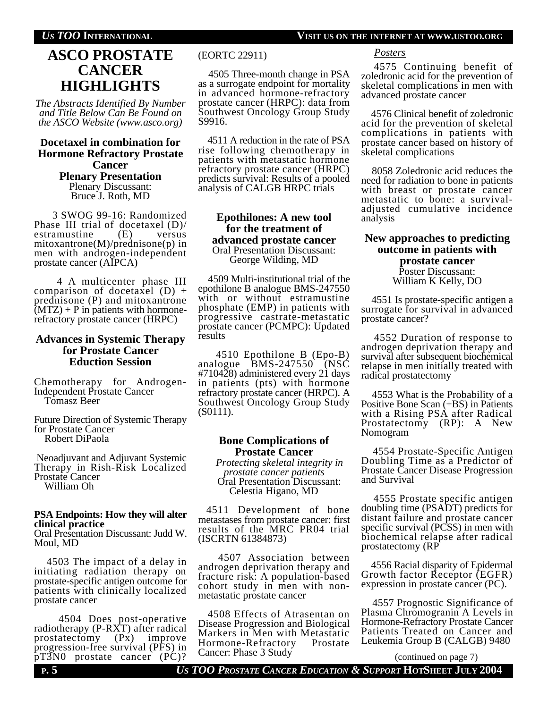# **ASCO PROSTATE CANCER HIGHLIGHTS**

*The Abstracts Identified By Number and Title Below Can Be Found on the ASCO Website (www.asco.org)*

#### **Docetaxel in combination for Hormone Refractory Prostate Cancer Plenary Presentation**

Plenary Discussant: Bruce J. Roth, MD

 3 SWOG 99-16: Randomized Phase III trial of docetaxel (D)/<br>estramustine (E) versus estramustine mitoxantrone(M)/prednisone(p) in men with androgen-independent prostate cancer (AIPCA)

4 A multicenter phase III comparison of docetaxel  $(D)$  + prednisone (P) and mitoxantrone  $(MTZ) + P$  in patients with hormonerefractory prostate cancer (HRPC)

#### **Advances in Systemic Therapy for Prostate Cancer Eduction Session**

Chemotherapy for Androgen-Independent Prostate Cancer Tomasz Beer

Future Direction of Systemic Therapy for Prostate Cancer Robert DiPaola

 Neoadjuvant and Adjuvant Systemic Therapy in Rish-Risk Localized Prostate Cancer William Oh

### **PSA Endpoints: How they will alter clinical practice**

Oral Presentation Discussant: Judd W. Moul, MD

 4503 The impact of a delay in initiating radiation therapy on prostate-specific antigen outcome for patients with clinically localized prostate cancer

4504 Does post-operative radiotherapy (P-RXT) after radical prostatectomy (Px) improve progression-free survival (PFS) in pT3N0 prostate cancer (PC)?

(EORTC 22911)

 4505 Three-month change in PSA as a surrogate endpoint for mortality in advanced hormone-refractory prostate cancer (HRPC): data from Southwest Oncology Group Study S9916.

 4511 A reduction in the rate of PSA rise following chemotherapy in patients with metastatic hormone refractory prostate cancer (HRPC) predicts survival: Results of a pooled analysis of CALGB HRPC trials

#### **Epothilones: A new tool for the treatment of advanced prostate cancer** Oral Presentation Discussant:

George Wilding, MD

 4509 Multi-institutional trial of the epothilone B analogue BMS-247550 with or without estramustine phosphate (EMP) in patients with progressive castrate-metastatic prostate cancer (PCMPC): Updated results

4510 Epothilone B (Epo-B) analogue BMS-247550 (NSC #710428) administered every 21 days in patients (pts) with hormone refractory prostate cancer (HRPC). A Southwest Oncology Group Study (S0111).

#### **Bone Complications of Prostate Cancer**

 *Protecting skeletal integrity in prostate cancer patients* Oral Presentation Discussant: Celestia Higano, MD

4511 Development of bone metastases from prostate cancer: first results of the MRC PR04 trial (ISCRTN 61384873)

4507 Association between androgen deprivation therapy and fracture risk: A population-based cohort study in men with nonmetastatic prostate cancer

 4508 Effects of Atrasentan on Disease Progression and Biological Markers in Men with Metastatic<br>Hormone-Refractory Prostate Hormone-Refractory Cancer: Phase 3 Study

*Posters*

4575 Continuing benefit of zoledronic acid for the prevention of skeletal complications in men with advanced prostate cancer

 4576 Clinical benefit of zoledronic acid for the prevention of skeletal complications in patients with prostate cancer based on history of skeletal complications

 8058 Zoledronic acid reduces the need for radiation to bone in patients with breast or prostate cancer metastatic to bone: a survivaladjusted cumulative incidence analysis

#### **New approaches to predicting outcome in patients with prostate cancer** Poster Discussant: William K Kelly, DO

 4551 Is prostate-specific antigen a surrogate for survival in advanced prostate cancer?

 4552 Duration of response to androgen deprivation therapy and survival after subsequent biochemical relapse in men initially treated with radical prostatectomy

 4553 What is the Probability of a Positive Bone Scan (+BS) in Patients with a Rising PSA after Radical Prostatectomy (RP): A New Nomogram

 4554 Prostate-Specific Antigen Doubling Time as a Predictor of Prostate Cancer Disease Progression and Survival

 4555 Prostate specific antigen doubling time (PSADT) predicts for distant failure and prostate cancer specific survival (PCSS) in men with biochemical relapse after radical prostatectomy (RP

 4556 Racial disparity of Epidermal Growth factor Receptor (EGFR) expression in prostate cancer (PC).

 4557 Prognostic Significance of Plasma Chromogranin A Levels in Hormone-Refractory Prostate Cancer Patients Treated on Cancer and Leukemia Group B (CALGB) 9480

(continued on page 7)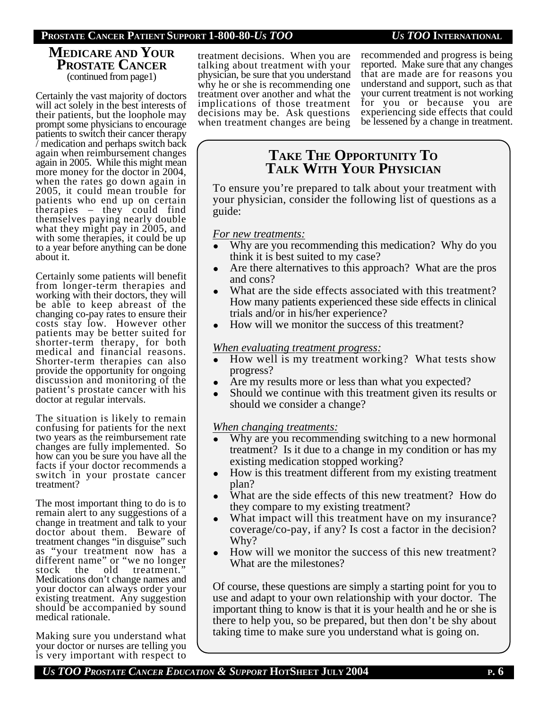### **PROSTATE CANCER PATIENT SUPPORT 1-800-80-***US TOO US TOO* **INTERNATIONAL**

### **MEDICARE AND YOUR PROSTATE CANCER** (continued from page1)

Certainly the vast majority of doctors will act solely in the best interests of their patients, but the loophole may prompt some physicians to encourage patients to switch their cancer therapy / medication and perhaps switch back again when reimbursement changes again in 2005. While this might mean more money for the doctor in 2004, when the rates go down again in 2005, it could mean trouble for patients who end up on certain therapies – they could find themselves paying nearly double what they might pay in 2005, and with some therapies, it could be up to a year before anything can be done about it.

Certainly some patients will benefit from longer-term therapies and working with their doctors, they will be able to keep abreast of the changing co-pay rates to ensure their costs stay low. However other patients may be better suited for shorter-term therapy, for both medical and financial reasons. Shorter-term therapies can also provide the opportunity for ongoing discussion and monitoring of the patient's prostate cancer with his doctor at regular intervals.

The situation is likely to remain confusing for patients for the next two years as the reimbursement rate changes are fully implemented. So how can you be sure you have all the facts if your doctor recommends a switch in your prostate cancer treatment?

The most important thing to do is to remain alert to any suggestions of a change in treatment and talk to your doctor about them. Beware of treatment changes "in disguise" such as "your treatment now has a different name" or "we no longer stock the old treatment." Medications don't change names and your doctor can always order your existing treatment. Any suggestion should be accompanied by sound medical rationale.

Making sure you understand what your doctor or nurses are telling you is very important with respect to

treatment decisions. When you are talking about treatment with your physician, be sure that you understand why he or she is recommending one treatment over another and what the implications of those treatment decisions may be. Ask questions when treatment changes are being recommended and progress is being reported. Make sure that any changes that are made are for reasons you understand and support, such as that your current treatment is not working for you or because you are experiencing side effects that could be lessened by a change in treatment.

# **TAKE THE OPPORTUNITY TO TALK WITH YOUR PHYSICIAN**

To ensure you're prepared to talk about your treatment with your physician, consider the following list of questions as a guide:

### *For new treatments:*

- Why are you recommending this medication? Why do you think it is best suited to my case?
- Are there alternatives to this approach? What are the pros and cons?
- What are the side effects associated with this treatment? How many patients experienced these side effects in clinical trials and/or in his/her experience?
- How will we monitor the success of this treatment?

### *When evaluating treatment progress:*

- How well is my treatment working? What tests show progress?
- Are my results more or less than what you expected?
- Should we continue with this treatment given its results or should we consider a change?

*When changing treatments:*

- Why are you recommending switching to a new hormonal treatment? Is it due to a change in my condition or has my existing medication stopped working?
- How is this treatment different from my existing treatment plan?
- What are the side effects of this new treatment? How do they compare to my existing treatment?
- What impact will this treatment have on my insurance? coverage/co-pay, if any? Is cost a factor in the decision? Why?
- How will we monitor the success of this new treatment? What are the milestones?

Of course, these questions are simply a starting point for you to use and adapt to your own relationship with your doctor. The important thing to know is that it is your health and he or she is there to help you, so be prepared, but then don't be shy about taking time to make sure you understand what is going on.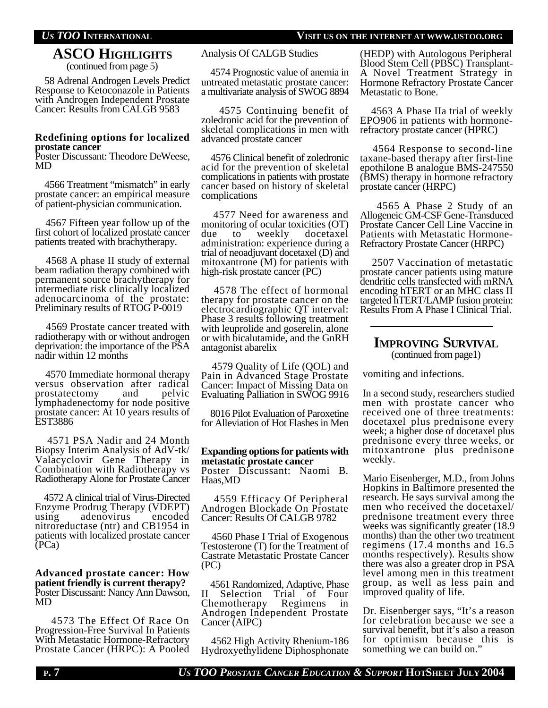### **ASCO HIGHLIGHTS** (continued from page 5)

 58 Adrenal Androgen Levels Predict Response to Ketoconazole in Patients with Androgen Independent Prostate Cancer: Results from CALGB 9583

#### **Redefining options for localized prostate cancer**

Poster Discussant: Theodore DeWeese, MD

 4566 Treatment "mismatch" in early prostate cancer: an empirical measure of patient-physician communication.

 4567 Fifteen year follow up of the first cohort of localized prostate cancer patients treated with brachytherapy.

 4568 A phase II study of external beam radiation therapy combined with permanent source brachytherapy for intermediate risk clinically localized adenocarcinoma of the prostate: Preliminary results of RTOG P-0019

 4569 Prostate cancer treated with radiotherapy with or without androgen deprivation: the importance of the PSA nadir within 12 months

 4570 Immediate hormonal therapy versus observation after radical prostatectomy and pelvic lymphadenectomy for node positive prostate cancer: At 10 years results of EST3886

 4571 PSA Nadir and 24 Month Biopsy Interim Analysis of AdV-tk/ Valacyclovir Gene Therapy in Combination with Radiotherapy vs Radiotherapy Alone for Prostate Cancer

 4572 A clinical trial of Virus-Directed Enzyme Prodrug Therapy (VDEPT) using adenovirus encoded nitroreductase (ntr) and CB1954 in patients with localized prostate cancer (PCa)

#### **Advanced prostate cancer: How patient friendly is current therapy?** Poster Discussant: Nancy Ann Dawson, MD

 4573 The Effect Of Race On Progression-Free Survival In Patients With Metastatic Hormone-Refractory Prostate Cancer (HRPC): A Pooled

#### Analysis Of CALGB Studies

 4574 Prognostic value of anemia in untreated metastatic prostate cancer: a multivariate analysis of SWOG 8894

4575 Continuing benefit of zoledronic acid for the prevention of skeletal complications in men with advanced prostate cancer

 4576 Clinical benefit of zoledronic acid for the prevention of skeletal complications in patients with prostate cancer based on history of skeletal complications

 4577 Need for awareness and monitoring of ocular toxicities (OT) due to weekly docetaxel administration: experience during a trial of neoadjuvant docetaxel (D) and mitoxantrone (M) for patients with high-risk prostate cancer (PC)

 4578 The effect of hormonal therapy for prostate cancer on the electrocardiographic QT interval: Phase 3 results following treatment with leuprolide and goserelin, alone or with bicalutamide, and the GnRH antagonist abarelix

 4579 Quality of Life (QOL) and Pain in Advanced Stage Prostate Cancer: Impact of Missing Data on Evaluating Palliation in SWOG 9916

 8016 Pilot Evaluation of Paroxetine for Alleviation of Hot Flashes in Men

#### **Expanding options for patients with metastatic prostate cancer**

Poster Discussant: Naomi B. Haas,MD

 4559 Efficacy Of Peripheral Androgen Blockade On Prostate Cancer: Results Of CALGB 9782

 4560 Phase I Trial of Exogenous Testosterone (T) for the Treatment of Castrate Metastatic Prostate Cancer (PC)

 4561 Randomized, Adaptive, Phase II Selection Trial of Four Chemotherapy Regimens in Androgen Independent Prostate Cancer (AIPC)

 4562 High Activity Rhenium-186 Hydroxyethylidene Diphosphonate (HEDP) with Autologous Peripheral Blood Stem Cell (PBSC) Transplant-A Novel Treatment Strategy in Hormone Refractory Prostate Cancer Metastatic to Bone.

 4563 A Phase IIa trial of weekly EPO906 in patients with hormonerefractory prostate cancer (HPRC)

 4564 Response to second-line taxane-based therapy after first-line epothilone B analogue BMS-247550 (BMS) therapy in hormone refractory prostate cancer (HRPC)

 4565 A Phase 2 Study of an Allogeneic GM-CSF Gene-Transduced Prostate Cancer Cell Line Vaccine in Patients with Metastatic Hormone-Refractory Prostate Cancer (HRPC)

 2507 Vaccination of metastatic prostate cancer patients using mature dendritic cells transfected with mRNA encoding hTERT or an MHC class II targeted hTERT/LAMP fusion protein: Results From A Phase I Clinical Trial.

#### **IMPROVING SURVIVAL** (continued from page1)

vomiting and infections.

In a second study, researchers studied men with prostate cancer who received one of three treatments: docetaxel plus prednisone every week; a higher dose of docetaxel plus prednisone every three weeks, or mitoxantrone plus prednisone weekly.

Mario Eisenberger, M.D., from Johns Hopkins in Baltimore presented the research. He says survival among the men who received the docetaxel/ prednisone treatment every three weeks was significantly greater (18.9 months) than the other two treatment regimens (17.4 months and 16.5 months respectively). Results show there was also a greater drop in PSA level among men in this treatment group, as well as less pain and improved quality of life.

Dr. Eisenberger says, "It's a reason for celebration because we see a survival benefit, but it's also a reason for optimism because this is something we can build on."